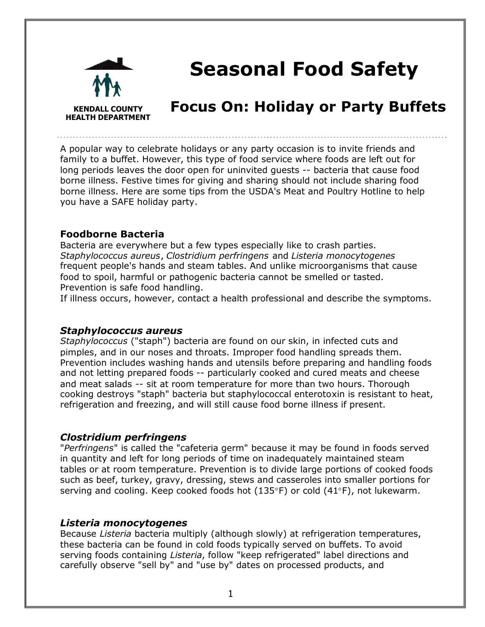

# **Seasonal Food Safety**

# **Focus On: Holiday or Party Buffets**

A popular way to celebrate holidays or any party occasion is to invite friends and family to a buffet. However, this type of food service where foods are left out for long periods leaves the door open for uninvited guests -- bacteria that cause food borne illness. Festive times for giving and sharing should not include sharing food borne illness. Here are some tips from the USDA's Meat and Poultry Hotline to help you have a SAFE holiday party.

#### **Foodborne Bacteria**

Bacteria are everywhere but a few types especially like to crash parties. *Staphylococcus aureus*, *Clostridium perfringens* and *Listeria monocytogenes* frequent people's hands and steam tables. And unlike microorganisms that cause food to spoil, harmful or pathogenic bacteria cannot be smelled or tasted. Prevention is safe food handling.

If illness occurs, however, contact a health professional and describe the symptoms.

#### *Staphylococcus aureus*

*Staphylococcus* ("staph") bacteria are found on our skin, in infected cuts and pimples, and in our noses and throats. Improper food handling spreads them. Prevention includes washing hands and utensils before preparing and handling foods and not letting prepared foods -- particularly cooked and cured meats and cheese and meat salads -- sit at room temperature for more than two hours. Thorough cooking destroys "staph" bacteria but staphylococcal enterotoxin is resistant to heat, refrigeration and freezing, and will still cause food borne illness if present.

#### *Clostridium perfringens*

"*Perfringens*" is called the "cafeteria germ" because it may be found in foods served in quantity and left for long periods of time on inadequately maintained steam tables or at room temperature. Prevention is to divide large portions of cooked foods such as beef, turkey, gravy, dressing, stews and casseroles into smaller portions for serving and cooling. Keep cooked foods hot (135°F) or cold (41°F), not lukewarm.

#### *Listeria monocytogenes*

Because *Listeria* bacteria multiply (although slowly) at refrigeration temperatures, these bacteria can be found in cold foods typically served on buffets. To avoid serving foods containing *Listeria*, follow "keep refrigerated" label directions and carefully observe "sell by" and "use by" dates on processed products, and